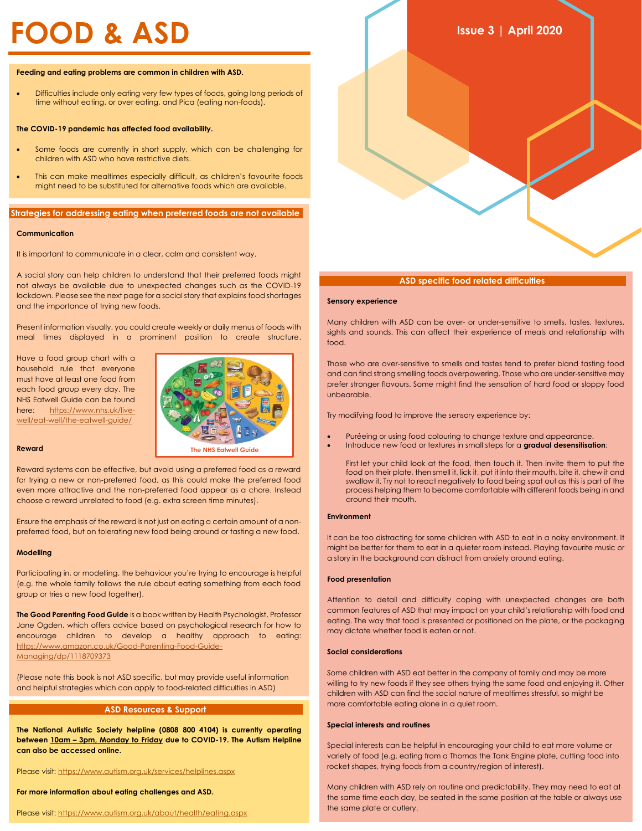#### **Feeding and eating problems are common in children with ASD.**

• Difficulties include only eating very few types of foods, going long periods of time without eating, or over eating, and Pica (eating non-foods).

#### **The COVID-19 pandemic has affected food availability.**

- Some foods are currently in short supply, which can be challenging for children with ASD who have restrictive diets.
- This can make mealtimes especially difficult, as children's favourite foods might need to be substituted for alternative foods which are available.

## **Strategies for addressing eating when preferred foods are not available**

## **Communication**

It is important to communicate in a clear, calm and consistent way.

A social story can help children to understand that their preferred foods might not always be available due to unexpected changes such as the COVID-19 lockdown. Please see the next page for a social story that explains food shortages and the importance of trying new foods.

Present information visually, you could create weekly or daily menus of foods with meal times displayed in a prominent position to create structure.

Have a food group chart with a household rule that everyone must have at least one food from each food group every day. The NHS Eatwell Guide can be found here: [https://www.nhs.uk/live](https://www.nhs.uk/live-well/eat-well/the-eatwell-guide/)[well/eat-well/the-eatwell-guide/](https://www.nhs.uk/live-well/eat-well/the-eatwell-guide/)



## **Reward**

Reward systems can be effective, but avoid using a preferred food as a reward for trying a new or non-preferred food, as this could make the preferred food even more attractive and the non-preferred food appear as a chore. Instead choose a reward unrelated to food (e.g. extra screen time minutes).

Ensure the emphasis of the reward is not just on eating a certain amount of a nonpreferred food, but on tolerating new food being around or tasting a new food.

### **Modelling**

Participating in, or modelling, the behaviour you're trying to encourage is helpful (e.g. the whole family follows the rule about eating something from each food group or tries a new food together).

**The Good Parenting Food Guide** is a book written by Health Psychologist, Professor Jane Ogden, which offers advice based on psychological research for how to encourage children to develop a healthy approach to eating: [https://www.amazon.co.uk/Good-Parenting-Food-Guide-](https://www.amazon.co.uk/Good-Parenting-Food-Guide-Managing/dp/1118709373)[Managing/dp/1118709373](https://www.amazon.co.uk/Good-Parenting-Food-Guide-Managing/dp/1118709373)

(Please note this book is not ASD specific, but may provide useful information and helpful strategies which can apply to food-related difficulties in ASD)

## **ASD Resources & Support**

**The National Autistic Society helpline (0808 800 4104) is currently operating between 10am – 3pm, Monday to Friday due to COVID-19. The Autism Helpline can also be accessed online.**

Please visit[: https://www.autism.org.uk/services/helplines.aspx](https://www.autism.org.uk/services/helplines.aspx)

#### **For more information about eating challenges and ASD.**

Please visit: <https://www.autism.org.uk/about/health/eating.aspx>



## **ASD specific food related difficulties**

## **Sensory experience**

Many children with ASD can be over- or under-sensitive to smells, tastes, textures, sights and sounds. This can affect their experience of meals and relationship with food.

Those who are over-sensitive to smells and tastes tend to prefer bland tasting food and can find strong smelling foods overpowering. Those who are under-sensitive may prefer stronger flavours. Some might find the sensation of hard food or sloppy food unbearable.

Try modifying food to improve the sensory experience by:

Puréeing or using food colouring to change texture and appearance. • Introduce new food or textures in small steps for a **gradual desensitisation**:

First let your child look at the food, then touch it. Then invite them to put the food on their plate, then smell it, lick it, put it into their mouth, bite it, chew it and swallow it. Try not to react negatively to food being spat out as this is part of the process helping them to become comfortable with different foods being in and around their mouth.

## **Environment**

It can be too distracting for some children with ASD to eat in a noisy environment. It might be better for them to eat in a quieter room instead. Playing favourite music or a story in the background can distract from anxiety around eating.

## **Food presentation**

Attention to detail and difficulty coping with unexpected changes are both common features of ASD that may impact on your child's relationship with food and eating. The way that food is presented or positioned on the plate, or the packaging may dictate whether food is eaten or not.

# **Social considerations**

Some children with ASD eat better in the company of family and may be more willing to try new foods if they see others trying the same food and enjoying it. Other children with ASD can find the social nature of mealtimes stressful, so might be more comfortable eating alone in a quiet room.

## **Special interests and routines**

Special interests can be helpful in encouraging your child to eat more volume or variety of food (e.g. eating from a Thomas the Tank Engine plate, cutting food into rocket shapes, trying foods from a country/region of interest).

Many children with ASD rely on routine and predictability. They may need to eat at the same time each day, be seated in the same position at the table or always use the same plate or cutlery.